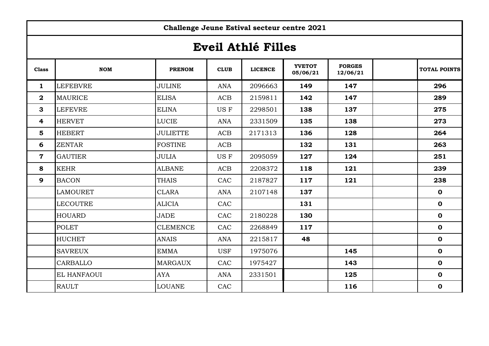|                         | Challenge Jeune Estival secteur centre 2021 |                 |             |                |                           |                           |  |                     |  |
|-------------------------|---------------------------------------------|-----------------|-------------|----------------|---------------------------|---------------------------|--|---------------------|--|
| Eveil Athlé Filles      |                                             |                 |             |                |                           |                           |  |                     |  |
| <b>Class</b>            | <b>NOM</b>                                  | <b>PRENOM</b>   | <b>CLUB</b> | <b>LICENCE</b> | <b>YVETOT</b><br>05/06/21 | <b>FORGES</b><br>12/06/21 |  | <b>TOTAL POINTS</b> |  |
| $\mathbf{1}$            | <b>LEFEBVRE</b>                             | <b>JULINE</b>   | <b>ANA</b>  | 2096663        | 149                       | 147                       |  | 296                 |  |
| $\overline{\mathbf{2}}$ | <b>MAURICE</b>                              | <b>ELISA</b>    | ACB         | 2159811        | 142                       | 147                       |  | 289                 |  |
| $\mathbf{3}$            | <b>LEFEVRE</b>                              | <b>ELINA</b>    | US F        | 2298501        | 138                       | 137                       |  | 275                 |  |
| $\overline{4}$          | <b>HERVET</b>                               | <b>LUCIE</b>    | <b>ANA</b>  | 2331509        | 135                       | 138                       |  | 273                 |  |
| 5                       | <b>HEBERT</b>                               | <b>JULIETTE</b> | ACB         | 2171313        | 136                       | 128                       |  | 264                 |  |
| 6                       | <b>ZENTAR</b>                               | <b>FOSTINE</b>  | ACB         |                | 132                       | 131                       |  | 263                 |  |
| $\mathbf 7$             | <b>GAUTIER</b>                              | <b>JULIA</b>    | US F        | 2095059        | 127                       | 124                       |  | 251                 |  |
| 8                       | <b>KEHR</b>                                 | <b>ALBANE</b>   | ACB         | 2208372        | 118                       | 121                       |  | 239                 |  |
| $\mathbf{9}$            | <b>BACON</b>                                | <b>THAIS</b>    | CAC         | 2187827        | 117                       | 121                       |  | 238                 |  |
|                         | <b>LAMOURET</b>                             | <b>CLARA</b>    | <b>ANA</b>  | 2107148        | 137                       |                           |  | $\mathbf 0$         |  |
|                         | <b>LECOUTRE</b>                             | <b>ALICIA</b>   | CAC         |                | 131                       |                           |  | $\mathbf 0$         |  |
|                         | <b>HOUARD</b>                               | <b>JADE</b>     | CAC         | 2180228        | 130                       |                           |  | $\mathbf 0$         |  |
|                         | <b>POLET</b>                                | <b>CLEMENCE</b> | CAC         | 2268849        | 117                       |                           |  | $\mathbf 0$         |  |
|                         | <b>HUCHET</b>                               | <b>ANAIS</b>    | <b>ANA</b>  | 2215817        | 48                        |                           |  | $\mathbf 0$         |  |
|                         | <b>SAVREUX</b>                              | <b>EMMA</b>     | <b>USF</b>  | 1975076        |                           | 145                       |  | $\mathbf 0$         |  |
|                         | CARBALLO                                    | <b>MARGAUX</b>  | CAC         | 1975427        |                           | 143                       |  | $\mathbf 0$         |  |
|                         | EL HANFAOUI                                 | <b>AYA</b>      | <b>ANA</b>  | 2331501        |                           | 125                       |  | $\mathbf 0$         |  |
|                         | <b>RAULT</b>                                | <b>LOUANE</b>   | CAC         |                |                           | 116                       |  | $\mathbf 0$         |  |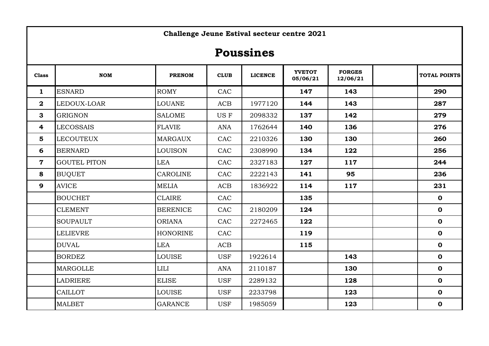|                         | Challenge Jeune Estival secteur centre 2021 |                 |            |                |                           |                           |  |                     |  |
|-------------------------|---------------------------------------------|-----------------|------------|----------------|---------------------------|---------------------------|--|---------------------|--|
| <b>Poussines</b>        |                                             |                 |            |                |                           |                           |  |                     |  |
| <b>Class</b>            | <b>NOM</b>                                  | <b>PRENOM</b>   | CLUB       | <b>LICENCE</b> | <b>YVETOT</b><br>05/06/21 | <b>FORGES</b><br>12/06/21 |  | <b>TOTAL POINTS</b> |  |
| $\mathbf{1}$            | <b>ESNARD</b>                               | <b>ROMY</b>     | CAC        |                | 147                       | 143                       |  | 290                 |  |
| $\overline{\mathbf{2}}$ | LEDOUX-LOAR                                 | <b>LOUANE</b>   | ACB        | 1977120        | 144                       | 143                       |  | 287                 |  |
| $\mathbf{3}$            | <b>GRIGNON</b>                              | <b>SALOME</b>   | US F       | 2098332        | 137                       | 142                       |  | 279                 |  |
| $\overline{\mathbf{4}}$ | <b>LECOSSAIS</b>                            | <b>FLAVIE</b>   | <b>ANA</b> | 1762644        | 140                       | 136                       |  | 276                 |  |
| $5\phantom{1}$          | <b>LECOUTEUX</b>                            | <b>MARGAUX</b>  | CAC        | 2210326        | 130                       | 130                       |  | 260                 |  |
| 6                       | <b>BERNARD</b>                              | <b>LOUISON</b>  | CAC        | 2308990        | 134                       | 122                       |  | 256                 |  |
| $\mathbf 7$             | <b>GOUTEL PITON</b>                         | <b>LEA</b>      | CAC        | 2327183        | 127                       | 117                       |  | 244                 |  |
| 8                       | <b>BUQUET</b>                               | <b>CAROLINE</b> | CAC        | 2222143        | 141                       | 95                        |  | 236                 |  |
| $\mathbf{9}$            | <b>AVICE</b>                                | <b>MELIA</b>    | ACB        | 1836922        | 114                       | 117                       |  | 231                 |  |
|                         | <b>BOUCHET</b>                              | <b>CLAIRE</b>   | CAC        |                | 135                       |                           |  | $\mathbf 0$         |  |
|                         | <b>CLEMENT</b>                              | <b>BERENICE</b> | CAC        | 2180209        | 124                       |                           |  | $\mathbf 0$         |  |
|                         | <b>SOUPAULT</b>                             | <b>ORIANA</b>   | CAC        | 2272465        | 122                       |                           |  | $\mathbf 0$         |  |
|                         | <b>LELIEVRE</b>                             | <b>HONORINE</b> | CAC        |                | 119                       |                           |  | $\mathbf 0$         |  |
|                         | <b>DUVAL</b>                                | <b>LEA</b>      | ACB        |                | 115                       |                           |  | $\mathbf 0$         |  |
|                         | <b>BORDEZ</b>                               | <b>LOUISE</b>   | <b>USF</b> | 1922614        |                           | 143                       |  | $\mathbf 0$         |  |
|                         | <b>MARGOLLE</b>                             | <b>LILI</b>     | <b>ANA</b> | 2110187        |                           | 130                       |  | $\mathbf 0$         |  |
|                         | <b>LADRIERE</b>                             | <b>ELISE</b>    | <b>USF</b> | 2289132        |                           | 128                       |  | $\mathbf 0$         |  |
|                         | <b>CAILLOT</b>                              | <b>LOUISE</b>   | <b>USF</b> | 2233798        |                           | 123                       |  | $\mathbf 0$         |  |
|                         | <b>MALBET</b>                               | <b>GARANCE</b>  | <b>USF</b> | 1985059        |                           | 123                       |  | $\mathbf 0$         |  |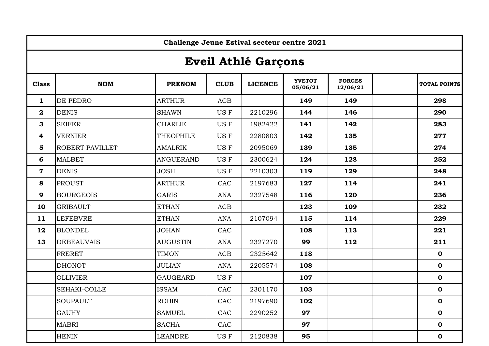|                            | Challenge Jeune Estival secteur centre 2021 |                  |             |                |                           |                           |                     |  |  |
|----------------------------|---------------------------------------------|------------------|-------------|----------------|---------------------------|---------------------------|---------------------|--|--|
| <b>Eveil Athlé Garçons</b> |                                             |                  |             |                |                           |                           |                     |  |  |
| <b>Class</b>               | <b>NOM</b>                                  | <b>PRENOM</b>    | <b>CLUB</b> | <b>LICENCE</b> | <b>YVETOT</b><br>05/06/21 | <b>FORGES</b><br>12/06/21 | <b>TOTAL POINTS</b> |  |  |
| $\mathbf{1}$               | DE PEDRO                                    | <b>ARTHUR</b>    | ACB         |                | 149                       | 149                       | 298                 |  |  |
| $\boldsymbol{2}$           | <b>DENIS</b>                                | <b>SHAWN</b>     | US F        | 2210296        | 144                       | 146                       | 290                 |  |  |
| 3                          | <b>SEIFER</b>                               | <b>CHARLIE</b>   | US F        | 1982422        | 141                       | 142                       | 283                 |  |  |
| 4                          | <b>VERNIER</b>                              | <b>THEOPHILE</b> | US F        | 2280803        | 142                       | 135                       | 277                 |  |  |
| 5                          | ROBERT PAVILLET                             | <b>AMALRIK</b>   | US F        | 2095069        | 139                       | 135                       | 274                 |  |  |
| 6                          | <b>MALBET</b>                               | <b>ANGUERAND</b> | US F        | 2300624        | 124                       | 128                       | 252                 |  |  |
| $\mathbf 7$                | <b>DENIS</b>                                | <b>JOSH</b>      | US F        | 2210303        | 119                       | 129                       | 248                 |  |  |
| 8                          | <b>PROUST</b>                               | <b>ARTHUR</b>    | CAC         | 2197683        | 127                       | 114                       | 241                 |  |  |
| 9                          | <b>BOURGEOIS</b>                            | <b>GARIS</b>     | <b>ANA</b>  | 2327548        | 116                       | 120                       | 236                 |  |  |
| 10                         | <b>GRIBAULT</b>                             | <b>ETHAN</b>     | ACB         |                | 123                       | 109                       | 232                 |  |  |
| 11                         | <b>LEFEBVRE</b>                             | <b>ETHAN</b>     | <b>ANA</b>  | 2107094        | 115                       | 114                       | 229                 |  |  |
| 12                         | <b>BLONDEL</b>                              | <b>JOHAN</b>     | CAC         |                | 108                       | 113                       | 221                 |  |  |
| 13                         | <b>DEBEAUVAIS</b>                           | <b>AUGUSTIN</b>  | <b>ANA</b>  | 2327270        | 99                        | 112                       | 211                 |  |  |
|                            | <b>FRERET</b>                               | <b>TIMON</b>     | ACB         | 2325642        | 118                       |                           | $\mathbf 0$         |  |  |
|                            | <b>DHONOT</b>                               | JULIAN           | <b>ANA</b>  | 2205574        | 108                       |                           | $\mathbf 0$         |  |  |
|                            | <b>OLLIVIER</b>                             | <b>GAUGEARD</b>  | US F        |                | 107                       |                           | $\mathbf 0$         |  |  |
|                            | SEHAKI-COLLE                                | <b>ISSAM</b>     | CAC         | 2301170        | 103                       |                           | $\mathbf 0$         |  |  |
|                            | <b>SOUPAULT</b>                             | <b>ROBIN</b>     | CAC         | 2197690        | 102                       |                           | $\mathbf 0$         |  |  |
|                            | <b>GAUHY</b>                                | <b>SAMUEL</b>    | CAC         | 2290252        | 97                        |                           | $\mathbf 0$         |  |  |
|                            | <b>MABRI</b>                                | <b>SACHA</b>     | CAC         |                | 97                        |                           | $\mathbf 0$         |  |  |
|                            | <b>HENIN</b>                                | <b>LEANDRE</b>   | US F        | 2120838        | 95                        |                           | $\mathbf 0$         |  |  |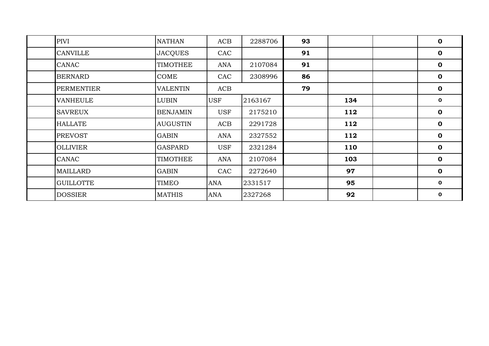| PIVI              | <b>NATHAN</b>   | ACB        | 2288706 | 93 |     | $\mathbf 0$  |
|-------------------|-----------------|------------|---------|----|-----|--------------|
| <b>CANVILLE</b>   | <b>JACQUES</b>  | CAC        |         | 91 |     | $\mathbf 0$  |
| <b>CANAC</b>      | <b>TIMOTHEE</b> | ANA        | 2107084 | 91 |     | $\mathbf 0$  |
| <b>BERNARD</b>    | COME            | CAC        | 2308996 | 86 |     | $\mathbf 0$  |
| <b>PERMENTIER</b> | <b>VALENTIN</b> | ACB        |         | 79 |     | $\mathbf 0$  |
| <b>VANHEULE</b>   | <b>LUBIN</b>    | <b>USF</b> | 2163167 |    | 134 | $\mathbf{o}$ |
| <b>SAVREUX</b>    | <b>BENJAMIN</b> | <b>USF</b> | 2175210 |    | 112 | $\mathbf 0$  |
| <b>HALLATE</b>    | <b>AUGUSTIN</b> | ACB        | 2291728 |    | 112 | $\mathbf 0$  |
| <b>PREVOST</b>    | <b>GABIN</b>    | ANA        | 2327552 |    | 112 | $\mathbf 0$  |
| <b>OLLIVIER</b>   | <b>GASPARD</b>  | <b>USF</b> | 2321284 |    | 110 | $\mathbf 0$  |
| CANAC             | <b>TIMOTHEE</b> | ANA        | 2107084 |    | 103 | $\mathbf 0$  |
| <b>MAILLARD</b>   | <b>GABIN</b>    | CAC        | 2272640 |    | 97  | $\mathbf 0$  |
| <b>GUILLOTTE</b>  | TIMEO           | <b>ANA</b> | 2331517 |    | 95  | $\mathbf 0$  |
| <b>DOSSIER</b>    | <b>MATHIS</b>   | <b>ANA</b> | 2327268 |    | 92  | $\mathbf{o}$ |